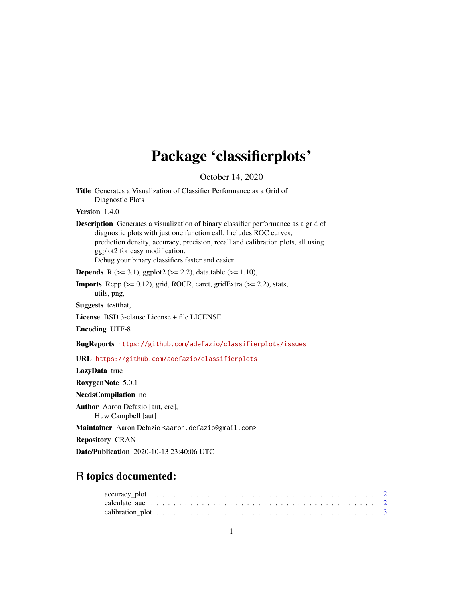## Package 'classifierplots'

October 14, 2020

| <b>Title</b> Generates a Visualization of Classifier Performance as a Grid of |
|-------------------------------------------------------------------------------|
| Diagnostic Plots                                                              |

Version 1.4.0

Description Generates a visualization of binary classifier performance as a grid of diagnostic plots with just one function call. Includes ROC curves, prediction density, accuracy, precision, recall and calibration plots, all using ggplot2 for easy modification. Debug your binary classifiers faster and easier!

**Depends** R ( $>= 3.1$ ), ggplot2 ( $>= 2.2$ ), data.table ( $>= 1.10$ ),

**Imports** Rcpp  $(>= 0.12)$ , grid, ROCR, caret, gridExtra  $(>= 2.2)$ , stats, utils, png,

Suggests testthat,

License BSD 3-clause License + file LICENSE

Encoding UTF-8

BugReports <https://github.com/adefazio/classifierplots/issues>

URL <https://github.com/adefazio/classifierplots>

LazyData true

RoxygenNote 5.0.1

NeedsCompilation no

Author Aaron Defazio [aut, cre], Huw Campbell [aut]

Maintainer Aaron Defazio <aaron.defazio@gmail.com>

Repository CRAN

Date/Publication 2020-10-13 23:40:06 UTC

### R topics documented: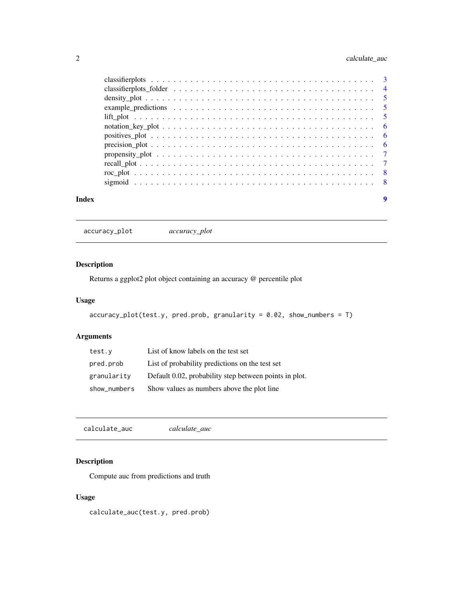#### <span id="page-1-0"></span>2 calculate\_auc

| Index | 9 |
|-------|---|

accuracy\_plot *accuracy\_plot*

#### Description

Returns a ggplot2 plot object containing an accuracy @ percentile plot

#### Usage

```
accuracy\_plot(test.y, pred.prob, granularity = 0.02, show_numbers = T)
```
#### Arguments

| test.y       | List of know labels on the test set                    |
|--------------|--------------------------------------------------------|
| pred.prob    | List of probability predictions on the test set        |
| granularity  | Default 0.02, probability step between points in plot. |
| show_numbers | Show values as numbers above the plot line             |

calculate\_auc *calculate\_auc*

#### Description

Compute auc from predictions and truth

#### Usage

calculate\_auc(test.y, pred.prob)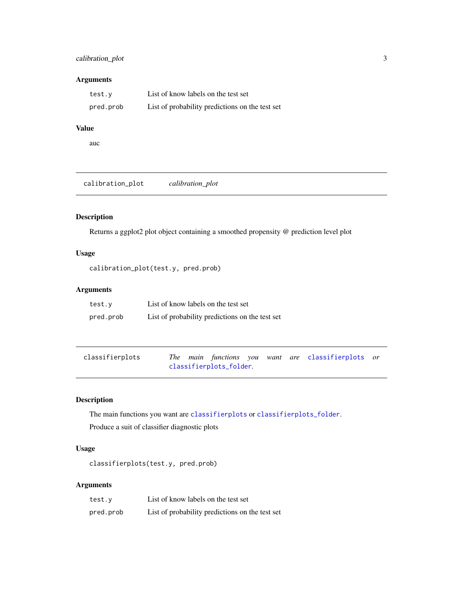#### <span id="page-2-0"></span>calibration\_plot 3

#### Arguments

| test.y    | List of know labels on the test set             |
|-----------|-------------------------------------------------|
| pred.prob | List of probability predictions on the test set |

#### Value

auc

calibration\_plot *calibration\_plot*

#### Description

Returns a ggplot2 plot object containing a smoothed propensity @ prediction level plot

#### Usage

calibration\_plot(test.y, pred.prob)

#### Arguments

| test.v    | List of know labels on the test set             |
|-----------|-------------------------------------------------|
| pred.prob | List of probability predictions on the test set |

<span id="page-2-1"></span>

| classifierplots |  |                         |  | The main functions you want are classifierplots or |  |
|-----------------|--|-------------------------|--|----------------------------------------------------|--|
|                 |  | classifierplots_folder. |  |                                                    |  |

#### Description

The main functions you want are [classifierplots](#page-2-1) or [classifierplots\\_folder](#page-3-1). Produce a suit of classifier diagnostic plots

#### Usage

classifierplots(test.y, pred.prob)

| test.y    | List of know labels on the test set             |
|-----------|-------------------------------------------------|
| pred.prob | List of probability predictions on the test set |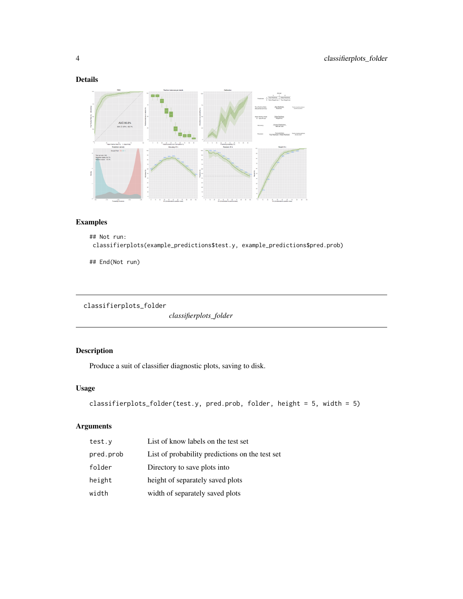#### <span id="page-3-0"></span>Details



#### Examples

```
## Not run:
classifierplots(example_predictions$test.y, example_predictions$pred.prob)
```
## End(Not run)

```
classifierplots_folder
```
*classifierplots\_folder*

#### Description

Produce a suit of classifier diagnostic plots, saving to disk.

#### Usage

```
classifierplots_folder(test.y, pred.prob, folder, height = 5, width = 5)
```

| test.y    | List of know labels on the test set             |
|-----------|-------------------------------------------------|
| pred.prob | List of probability predictions on the test set |
| folder    | Directory to save plots into                    |
| height    | height of separately saved plots                |
| width     | width of separately saved plots                 |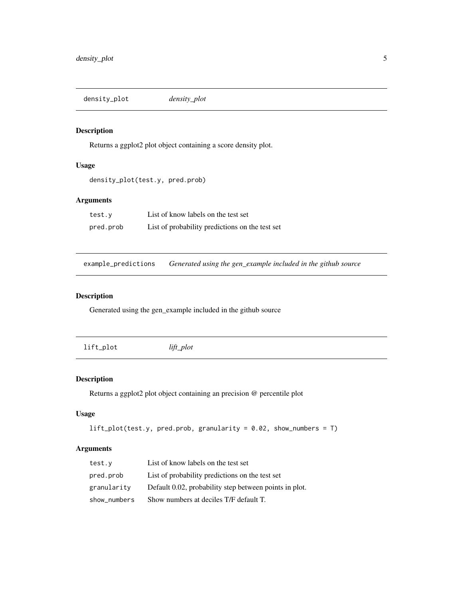<span id="page-4-0"></span>density\_plot *density\_plot*

#### Description

Returns a ggplot2 plot object containing a score density plot.

#### Usage

```
density_plot(test.y, pred.prob)
```
#### Arguments

| test.v    | List of know labels on the test set             |
|-----------|-------------------------------------------------|
| pred.prob | List of probability predictions on the test set |

example\_predictions *Generated using the gen\_example included in the github source*

#### Description

Generated using the gen\_example included in the github source

| lift_plot | $lift\_plot$ |
|-----------|--------------|
|           |              |

#### Description

Returns a ggplot2 plot object containing an precision @ percentile plot

#### Usage

```
lift\_plot(test.y, pred.prob, granularity = 0.02, show_numbers = T)
```

| test.y       | List of know labels on the test set                    |
|--------------|--------------------------------------------------------|
| pred.prob    | List of probability predictions on the test set        |
| granularity  | Default 0.02, probability step between points in plot. |
| show_numbers | Show numbers at deciles T/F default T.                 |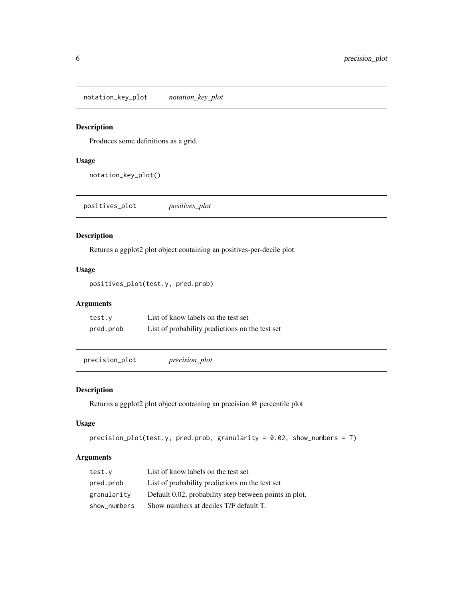<span id="page-5-0"></span>notation\_key\_plot *notation\_key\_plot*

#### Description

Produces some definitions as a grid.

#### Usage

notation\_key\_plot()

positives\_plot *positives\_plot*

#### Description

Returns a ggplot2 plot object containing an positives-per-decile plot.

#### Usage

positives\_plot(test.y, pred.prob)

#### Arguments

| test.v    | List of know labels on the test set             |
|-----------|-------------------------------------------------|
| pred.prob | List of probability predictions on the test set |

precision\_plot *precision\_plot*

#### Description

Returns a ggplot2 plot object containing an precision @ percentile plot

#### Usage

```
precision_plot(test.y, pred.prob, granularity = 0.02, show_numbers = T)
```

| test.y       | List of know labels on the test set                    |
|--------------|--------------------------------------------------------|
| pred.prob    | List of probability predictions on the test set        |
| granularity  | Default 0.02, probability step between points in plot. |
| show numbers | Show numbers at deciles T/F default T.                 |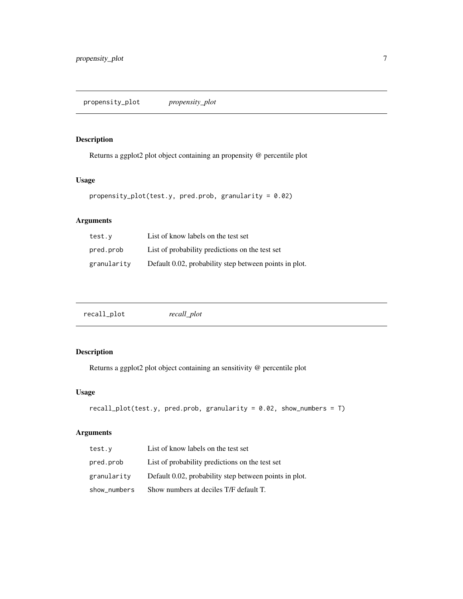#### <span id="page-6-0"></span>Description

Returns a ggplot2 plot object containing an propensity @ percentile plot

#### Usage

```
propensity_plot(test.y, pred.prob, granularity = 0.02)
```
#### Arguments

| test.y      | List of know labels on the test set                    |
|-------------|--------------------------------------------------------|
| pred.prob   | List of probability predictions on the test set        |
| granularity | Default 0.02, probability step between points in plot. |

| recall_plot | recall_plot |  |  |
|-------------|-------------|--|--|
|-------------|-------------|--|--|

#### Description

Returns a ggplot2 plot object containing an sensitivity @ percentile plot

#### Usage

```
recall_plot(test.y, pred.prob, granularity = 0.02, show_numbers = T)
```

| test.y       | List of know labels on the test set                    |
|--------------|--------------------------------------------------------|
| pred.prob    | List of probability predictions on the test set        |
| granularity  | Default 0.02, probability step between points in plot. |
| show_numbers | Show numbers at deciles T/F default T.                 |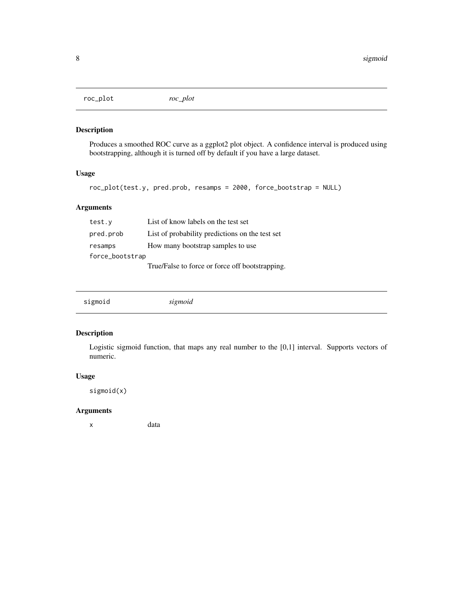<span id="page-7-0"></span>roc\_plot *roc\_plot*

#### Description

Produces a smoothed ROC curve as a ggplot2 plot object. A confidence interval is produced using bootstrapping, although it is turned off by default if you have a large dataset.

#### Usage

roc\_plot(test.y, pred.prob, resamps = 2000, force\_bootstrap = NULL)

#### Arguments

| test.y          | List of know labels on the test set             |
|-----------------|-------------------------------------------------|
| pred.prob       | List of probability predictions on the test set |
| resamps         | How many bootstrap samples to use               |
| force_bootstrap |                                                 |
|                 | True/False to force or force off bootstrapping. |

#### Description

Logistic sigmoid function, that maps any real number to the [0,1] interval. Supports vectors of numeric.

#### Usage

sigmoid(x)

#### Arguments

x data